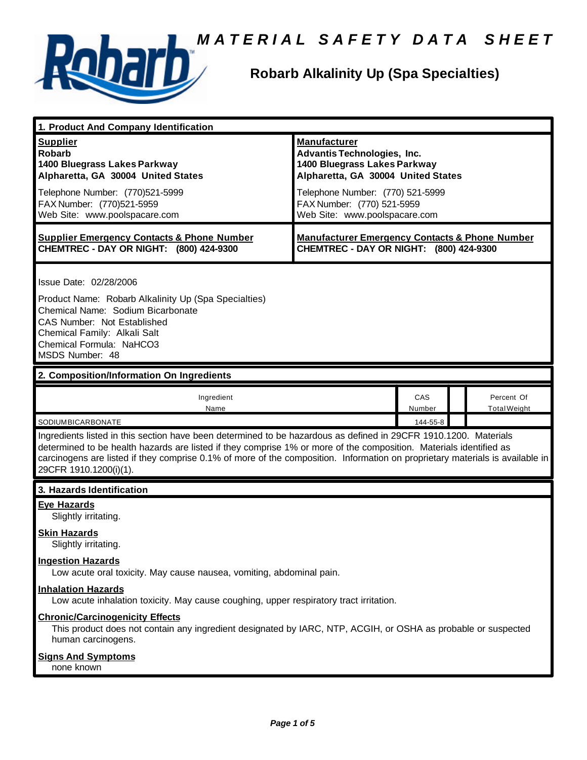



# **Robarb Alkalinity Up (Spa Specialties)**

| 1. Product And Company Identification                                                                                                                                                                                                                                                                                                                                                                                              |                                                                                                                                                                                                                             |               |                                   |
|------------------------------------------------------------------------------------------------------------------------------------------------------------------------------------------------------------------------------------------------------------------------------------------------------------------------------------------------------------------------------------------------------------------------------------|-----------------------------------------------------------------------------------------------------------------------------------------------------------------------------------------------------------------------------|---------------|-----------------------------------|
| <b>Supplier</b><br><b>Robarb</b><br>1400 Bluegrass Lakes Parkway<br>Alpharetta, GA 30004 United States<br>Telephone Number: (770)521-5999<br>FAX Number: (770)521-5959<br>Web Site: www.poolspacare.com                                                                                                                                                                                                                            | <b>Manufacturer</b><br>Advantis Technologies, Inc.<br>1400 Bluegrass Lakes Parkway<br>Alpharetta, GA 30004 United States<br>Telephone Number: (770) 521-5999<br>FAX Number: (770) 521-5959<br>Web Site: www.poolspacare.com |               |                                   |
| <b>Supplier Emergency Contacts &amp; Phone Number</b><br>CHEMTREC - DAY OR NIGHT: (800) 424-9300                                                                                                                                                                                                                                                                                                                                   | <b>Manufacturer Emergency Contacts &amp; Phone Number</b><br>CHEMTREC - DAY OR NIGHT: (800) 424-9300                                                                                                                        |               |                                   |
| Issue Date: 02/28/2006<br>Product Name: Robarb Alkalinity Up (Spa Specialties)<br>Chemical Name: Sodium Bicarbonate<br>CAS Number: Not Established<br>Chemical Family: Alkali Salt<br>Chemical Formula: NaHCO3<br>MSDS Number: 48                                                                                                                                                                                                  |                                                                                                                                                                                                                             |               |                                   |
| 2. Composition/Information On Ingredients                                                                                                                                                                                                                                                                                                                                                                                          |                                                                                                                                                                                                                             |               |                                   |
| Ingredient<br>Name                                                                                                                                                                                                                                                                                                                                                                                                                 |                                                                                                                                                                                                                             | CAS<br>Number | Percent Of<br><b>Total Weight</b> |
| SODIUMBICARBONATE<br>144-55-8<br>Ingredients listed in this section have been determined to be hazardous as defined in 29CFR 1910.1200. Materials<br>determined to be health hazards are listed if they comprise 1% or more of the composition. Materials identified as<br>carcinogens are listed if they comprise 0.1% of more of the composition. Information on proprietary materials is available in<br>29CFR 1910.1200(i)(1). |                                                                                                                                                                                                                             |               |                                   |
| 3. Hazards Identification                                                                                                                                                                                                                                                                                                                                                                                                          |                                                                                                                                                                                                                             |               |                                   |
| <b>Eye Hazards</b><br>Slightly irritating.<br><b>Skin Hazards</b><br>Slightly irritating.<br><b>Ingestion Hazards</b>                                                                                                                                                                                                                                                                                                              |                                                                                                                                                                                                                             |               |                                   |
| Low acute oral toxicity. May cause nausea, vomiting, abdominal pain.<br><b>Inhalation Hazards</b><br>Low acute inhalation toxicity. May cause coughing, upper respiratory tract irritation.                                                                                                                                                                                                                                        |                                                                                                                                                                                                                             |               |                                   |
| <b>Chronic/Carcinogenicity Effects</b><br>This product does not contain any ingredient designated by IARC, NTP, ACGIH, or OSHA as probable or suspected<br>human carcinogens.                                                                                                                                                                                                                                                      |                                                                                                                                                                                                                             |               |                                   |
| <b>Signs And Symptoms</b><br>none known                                                                                                                                                                                                                                                                                                                                                                                            |                                                                                                                                                                                                                             |               |                                   |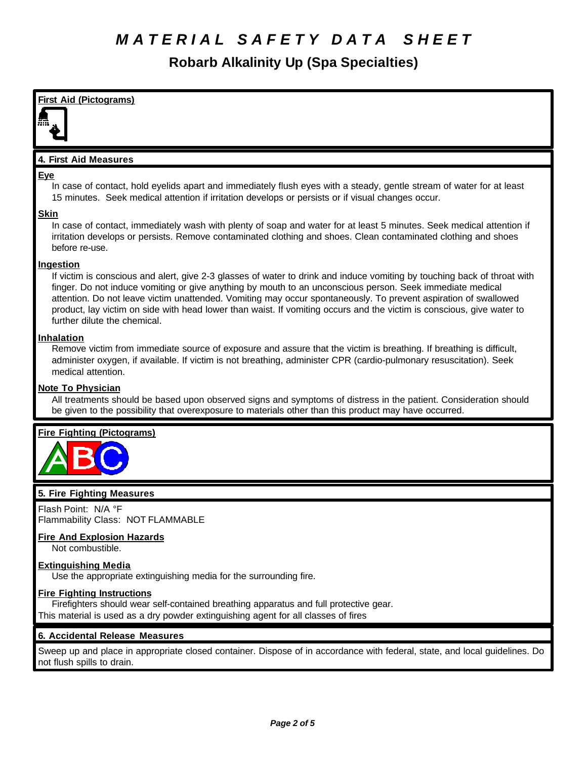**Robarb Alkalinity Up (Spa Specialties)**

**First Aid (Pictograms) 4. First Aid Measures Eye** In case of contact, hold eyelids apart and immediately flush eyes with a steady, gentle stream of water for at least 15 minutes. Seek medical attention if irritation develops or persists or if visual changes occur. **Skin** In case of contact, immediately wash with plenty of soap and water for at least 5 minutes. Seek medical attention if irritation develops or persists. Remove contaminated clothing and shoes. Clean contaminated clothing and shoes before re-use. **Ingestion** If victim is conscious and alert, give 2-3 glasses of water to drink and induce vomiting by touching back of throat with finger. Do not induce vomiting or give anything by mouth to an unconscious person. Seek immediate medical attention. Do not leave victim unattended. Vomiting may occur spontaneously. To prevent aspiration of swallowed product, lay victim on side with head lower than waist. If vomiting occurs and the victim is conscious, give water to further dilute the chemical. **Inhalation** Remove victim from immediate source of exposure and assure that the victim is breathing. If breathing is difficult, administer oxygen, if available. If victim is not breathing, administer CPR (cardio-pulmonary resuscitation). Seek medical attention. **Note To Physician** All treatments should be based upon observed signs and symptoms of distress in the patient. Consideration should be given to the possibility that overexposure to materials other than this product may have occurred. **Fire Fighting (Pictograms) 5. Fire Fighting Measures**

Flash Point: N/A °F Flammability Class: NOT FLAMMABLE

# **Fire And Explosion Hazards**

Not combustible.

# **Extinguishing Media**

Use the appropriate extinguishing media for the surrounding fire.

# **Fire Fighting Instructions**

Firefighters should wear self-contained breathing apparatus and full protective gear. This material is used as a dry powder extinguishing agent for all classes of fires

# **6. Accidental Release Measures**

Sweep up and place in appropriate closed container. Dispose of in accordance with federal, state, and local guidelines. Do not flush spills to drain.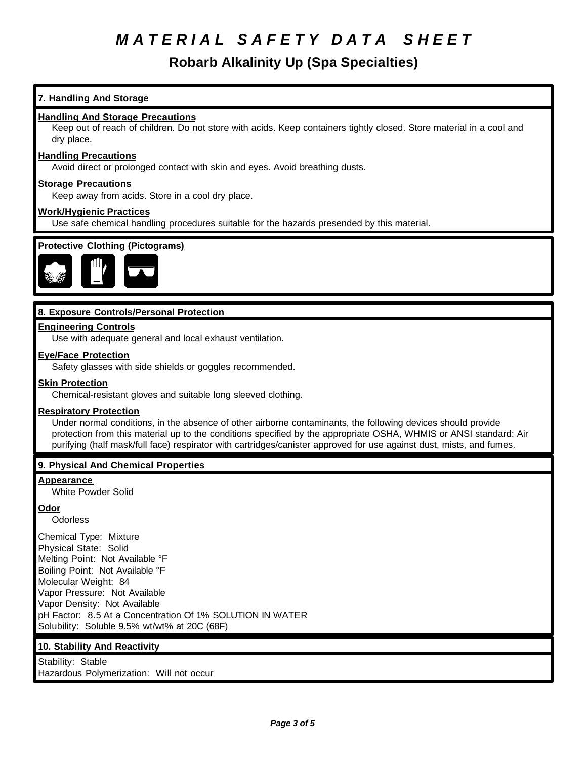# **Robarb Alkalinity Up (Spa Specialties)**

# **7. Handling And Storage**

### **Handling And Storage Precautions**

Keep out of reach of children. Do not store with acids. Keep containers tightly closed. Store material in a cool and dry place.

#### **Handling Precautions**

Avoid direct or prolonged contact with skin and eyes. Avoid breathing dusts.

#### **Storage Precautions**

Keep away from acids. Store in a cool dry place.

### **Work/Hygienic Practices**

Use safe chemical handling procedures suitable for the hazards presended by this material.



## **8. Exposure Controls/Personal Protection**

### **Engineering Controls**

Use with adequate general and local exhaust ventilation.

### **Eye/Face Protection**

Safety glasses with side shields or goggles recommended.

#### **Skin Protection**

Chemical-resistant gloves and suitable long sleeved clothing.

#### **Respiratory Protection**

Under normal conditions, in the absence of other airborne contaminants, the following devices should provide protection from this material up to the conditions specified by the appropriate OSHA, WHMIS or ANSI standard: Air purifying (half mask/full face) respirator with cartridges/canister approved for use against dust, mists, and fumes.

## **9. Physical And Chemical Properties**

#### **Appearance**

White Powder Solid

## **Odor**

**Odorless** 

Chemical Type: Mixture Physical State: Solid Melting Point: Not Available °F Boiling Point: Not Available °F Molecular Weight: 84 Vapor Pressure: Not Available Vapor Density: Not Available pH Factor: 8.5 At a Concentration Of 1% SOLUTION IN WATER Solubility: Soluble 9.5% wt/wt% at 20C (68F)

## **10. Stability And Reactivity**

Stability: Stable Hazardous Polymerization: Will not occur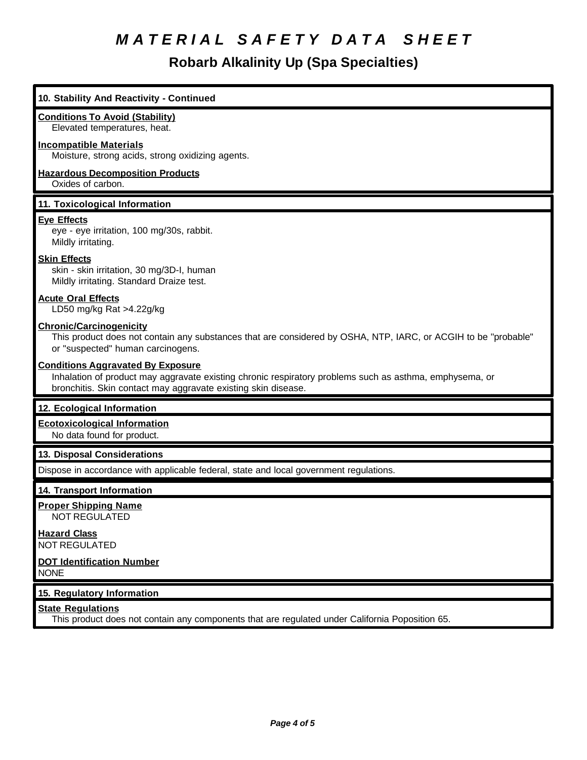**Robarb Alkalinity Up (Spa Specialties)**

# **10. Stability And Reactivity - Continued Conditions To Avoid (Stability)** Elevated temperatures, heat. **Incompatible Materials** Moisture, strong acids, strong oxidizing agents. **Hazardous Decomposition Products** Oxides of carbon. **11. Toxicological Information Eye Effects** eye - eye irritation, 100 mg/30s, rabbit. Mildly irritating. **Skin Effects** skin - skin irritation, 30 mg/3D-I, human Mildly irritating. Standard Draize test. **Acute Oral Effects** LD50 mg/kg Rat >4.22g/kg **Chronic/Carcinogenicity** This product does not contain any substances that are considered by OSHA, NTP, IARC, or ACGIH to be "probable" or "suspected" human carcinogens. **Conditions Aggravated By Exposure** Inhalation of product may aggravate existing chronic respiratory problems such as asthma, emphysema, or bronchitis. Skin contact may aggravate existing skin disease. **12. Ecological Information Ecotoxicological Information** No data found for product. **13. Disposal Considerations** Dispose in accordance with applicable federal, state and local government regulations. **14. Transport Information Proper Shipping Name** NOT REGULATED **Hazard Class** NOT REGULATED **DOT Identification Number** NONE **15. Regulatory Information State Regulations** This product does not contain any components that are regulated under California Poposition 65.